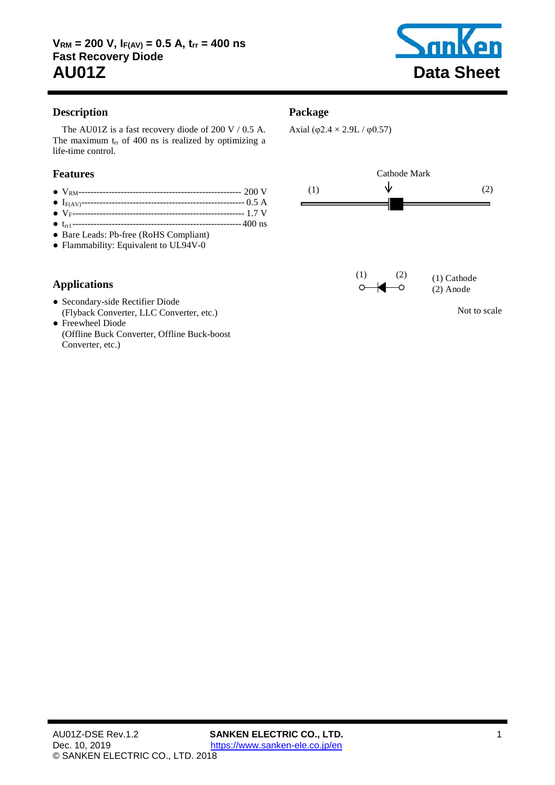

# **Description**

The AU01Z is a fast recovery diode of [200](#page-1-0) V / [0.5](#page-1-1) A. The maximum  $t_{rr}$  of [400](#page-1-2) ns is realized by optimizing a life-time control.

# **Features**

- VRM------------------------------------------------------ [200](#page-1-0) V
- IF(AV)------------------------------------------------------ [0.5](#page-1-1) A
- VF--------------------------------------------------------- [1.7](#page-1-3) V
- trr1 -------------------------------------------------------[-400](#page-1-2) ns
- Bare Leads: Pb-free (RoHS Compliant)
- Flammability: Equivalent to UL94V-0

# **Applications**

- Secondary-side Rectifier Diode (Flyback Converter, LLC Converter, etc.)
- Freewheel Diode (Offline Buck Converter, Offline Buck-boost Converter, etc.)

# **Package**

Axial (φ2.4  $\times$  2.9L / φ0.57)

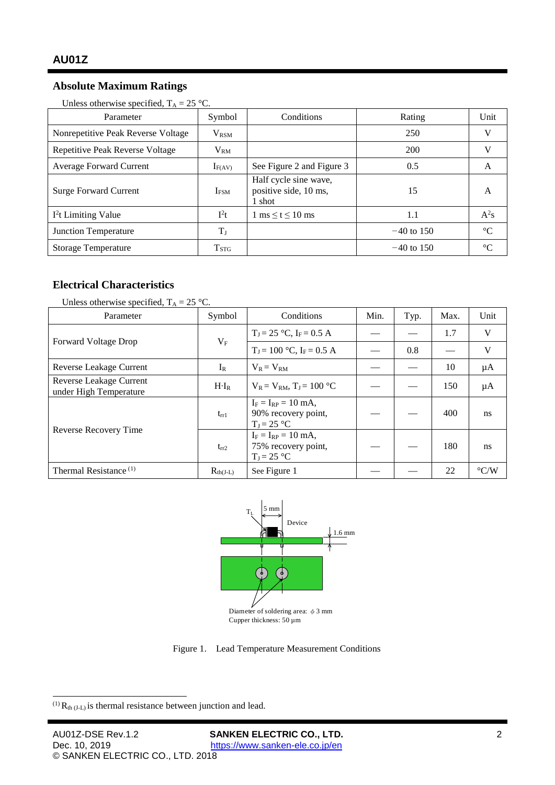# <span id="page-1-1"></span><span id="page-1-0"></span>**Absolute Maximum Ratings**

| Parameter                          | Symbol           | Conditions                                               | Rating       | Unit        |
|------------------------------------|------------------|----------------------------------------------------------|--------------|-------------|
| Nonrepetitive Peak Reverse Voltage | $V_{\rm RSM}$    |                                                          | 250          | V           |
| Repetitive Peak Reverse Voltage    | $V_{RM}$         |                                                          | 200          | V           |
| <b>Average Forward Current</b>     | $I_{F(AV)}$      | See Figure 2 and Figure 3                                | 0.5          | A           |
| <b>Surge Forward Current</b>       | I <sub>FSM</sub> | Half cycle sine wave,<br>positive side, 10 ms,<br>l shot | 15           | A           |
| $I2t$ Limiting Value               | $I^2t$           | $1 \text{ ms} \leq t \leq 10 \text{ ms}$                 | 1.1          | $A^2s$      |
| <b>Junction Temperature</b>        | $T_{\rm J}$      |                                                          | $-40$ to 150 | $^{\circ}C$ |
| <b>Storage Temperature</b>         | $T_{STG}$        |                                                          | $-40$ to 150 | $^{\circ}C$ |

# **Electrical Characteristics**

| Unless otherwise specified, $T_A = 25$ °C.        |               |                                                                 |      |      |      |                    |
|---------------------------------------------------|---------------|-----------------------------------------------------------------|------|------|------|--------------------|
| Parameter                                         | Symbol        | Conditions                                                      | Min. | Typ. | Max. | Unit               |
| <b>Forward Voltage Drop</b>                       | $V_{\rm F}$   | $T_J = 25$ °C, $I_F = 0.5$ A                                    |      |      | 1.7  | V                  |
|                                                   |               | $T_I = 100$ °C, $I_F = 0.5$ A                                   |      | 0.8  |      | V                  |
| Reverse Leakage Current                           | $I_R$         | $V_R = V_{RM}$                                                  |      |      | 10   | μA                 |
| Reverse Leakage Current<br>under High Temperature | $H \cdot I_R$ | $V_R = V_{RM}$ , $T_J = 100$ °C                                 |      |      | 150  | $\mu A$            |
| Reverse Recovery Time                             | $t_{rr1}$     | $I_F = I_{RP} = 10$ mA,<br>90% recovery point,<br>$T_J = 25 °C$ |      |      | 400  | ns                 |
|                                                   | $t_{rr2}$     | $I_F = I_{RP} = 10$ mA,<br>75% recovery point,<br>$T_J = 25$ °C |      |      | 180  | ns                 |
| Thermal Resistance <sup>(1)</sup>                 | $R_{th(J-L)}$ | See Figure 1                                                    |      |      | 22   | $\rm ^{\circ} C/W$ |

<span id="page-1-3"></span><span id="page-1-2"></span>

Cupper thickness:  $50 \mu m$ 

Figure 1. Lead Temperature Measurement Conditions

<span id="page-1-5"></span><span id="page-1-4"></span> $^{(1)}$  R<sub>th (J-L)</sub> is thermal resistance between junction and lead.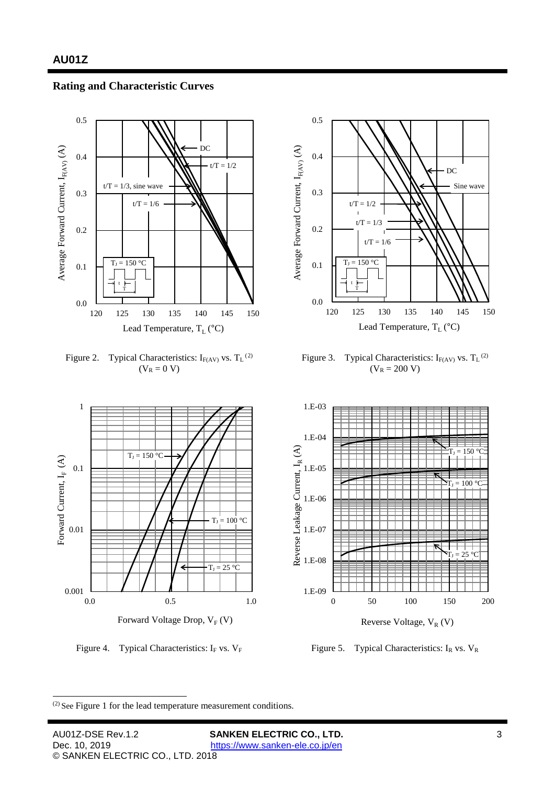### **Rating and Characteristic Curves**



<span id="page-2-0"></span>Figure [2](#page-2-2). Typical Characteristics:  $I_{F(AV)}$  vs.  $T_L$ <sup>(2)</sup>  $(V_R = 0 V)$ 



<span id="page-2-1"></span>Figure 3. Typical Characteristics:  $I_{F(AV)}$  vs.  $T_L$ <sup>(2)</sup>  $(V_R = 200 V)$  $(V_R = 200 V)$  $(V_R = 200 V)$ 





Reverse Voltage,  $V_R$  (V)

Figure 4. Typical Characteristics: I<sub>F</sub> vs.  $V_F$  Figure 5. Typical Characteristics: I<sub>R</sub> vs.  $V_R$ 

<span id="page-2-2"></span>(2) See [Figure](#page-1-4) <sup>1</sup> for the lead temperature measurement conditions.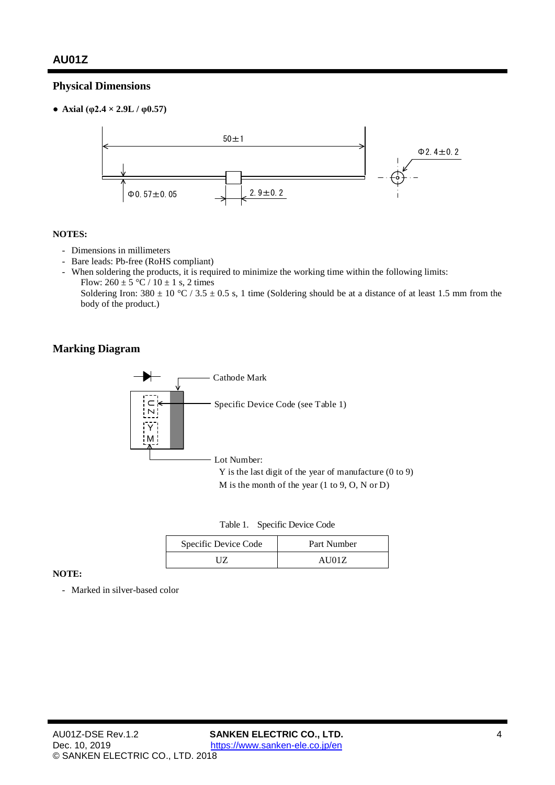# **Physical Dimensions**

 $\bullet$  **Axial**  $(\phi 2.4 \times 2.9L / \phi 0.57)$ 



#### **NOTES:**

- Dimensions in millimeters
- Bare leads: Pb-free (RoHS compliant)
- When soldering the products, it is required to minimize the working time within the following limits: Flow:  $260 \pm 5$  °C /  $10 \pm 1$  s, 2 times

Soldering Iron:  $380 \pm 10$  °C /  $3.5 \pm 0.5$  s, 1 time (Soldering should be at a distance of at least 1.5 mm from the body of the product.)

### **Marking Diagram**



| Table 1. | Specific Device Code |  |
|----------|----------------------|--|
|----------|----------------------|--|

| Specific Device Code | Part Number |  |  |
|----------------------|-------------|--|--|
| 17                   | AU01Z       |  |  |

#### **NOTE:**

- Marked in silver-based color